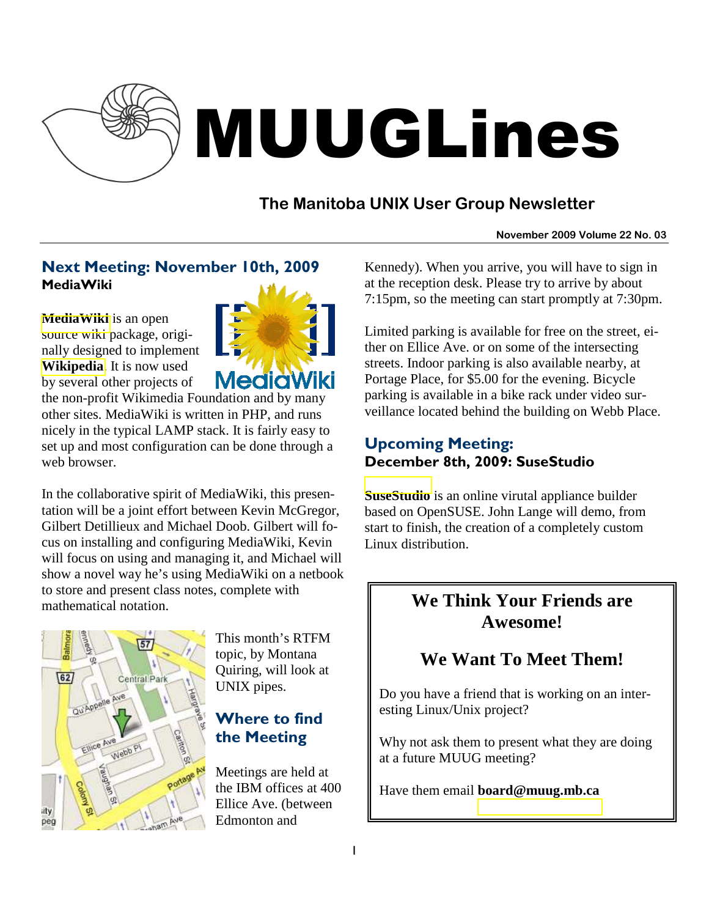

# MUUGLines

## **The Manitoba UNIX User Group Newsletter**

#### **November 2009 Volume 22 No. 03**

### Next Meeting: November 10th, 2009 **MediaWiki**

**[MediaWiki](http://www.mediawiki.org/wiki/MediaWiki)** is an open source wiki package, originally designed to implement **[Wikipedia](http://en.wikipedia.org/wiki/Wikipedia)**. It is now used by several other projects of



the non-profit Wikimedia Foundation and by many other sites. MediaWiki is written in PHP, and runs nicely in the typical LAMP stack. It is fairly easy to set up and most configuration can be done through a web browser.

In the collaborative spirit of MediaWiki, this presentation will be a joint effort between Kevin McGregor, Gilbert Detillieux and Michael Doob. Gilbert will focus on installing and configuring MediaWiki, Kevin will focus on using and managing it, and Michael will show a novel way he's using MediaWiki on a netbook to store and present class notes, complete with mathematical notation.



This month's RTFM topic, by Montana Quiring, will look at UNIX pipes.

### Where to find the Meeting

Meetings are held at the IBM offices at 400 Ellice Ave. (between Edmonton and

Kennedy). When you arrive, you will have to sign in at the reception desk. Please try to arrive by about 7:15pm, so the meeting can start promptly at 7:30pm.

Limited parking is available for free on the street, either on Ellice Ave. or on some of the intersecting streets. Indoor parking is also available nearby, at Portage Place, for \$5.00 for the evening. Bicycle parking is available in a bike rack under video surveillance located behind the building on Webb Place.

#### Upcoming Meeting: December 8th, 2009: SuseStudio

**[SuseStudio](http://susestudio.com/)** is an online virutal appliance builder based on OpenSUSE. John Lange will demo, from start to finish, the creation of a completely custom Linux distribution.

## **We Think Your Friends are Awesome!**

## **We Want To Meet Them!**

Do you have a friend that is working on an interesting Linux/Unix project?

Why not ask them to present what they are doing at a future MUUG meeting?

Have them email **board@muug.mb.ca**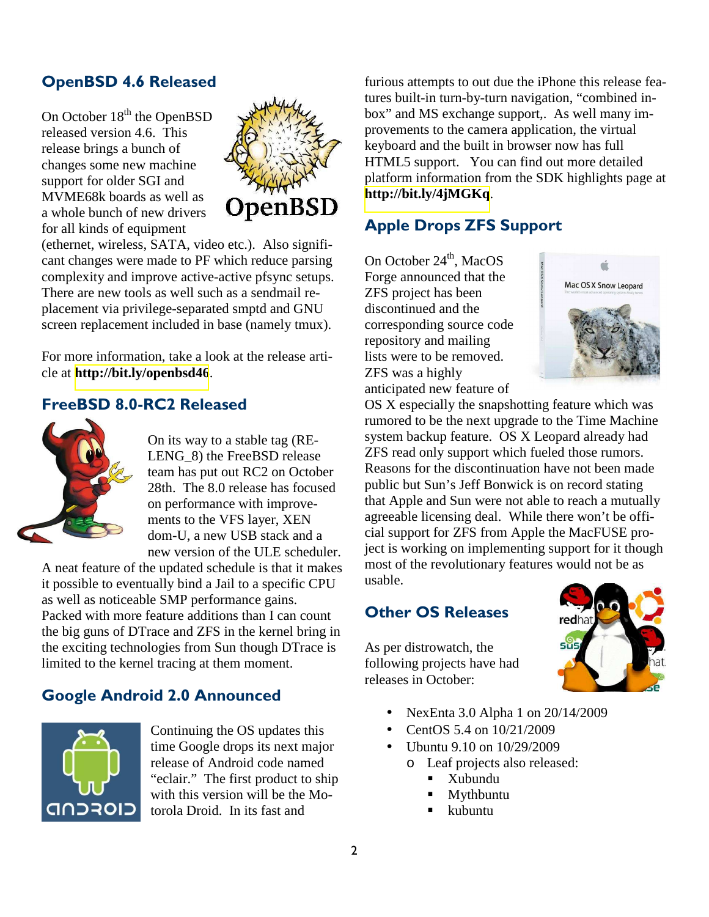## OpenBSD 4.6 Released

On October  $18<sup>th</sup>$  the OpenBSD released version 4.6. This release brings a bunch of changes some new machine support for older SGI and MVME68k boards as well as a whole bunch of new drivers for all kinds of equipment



(ethernet, wireless, SATA, video etc.). Also significant changes were made to PF which reduce parsing complexity and improve active-active pfsync setups. There are new tools as well such as a sendmail replacement via privilege-separated smptd and GNU screen replacement included in base (namely tmux).

For more information, take a look at the release article at **<http://bit.ly/openbsd46>**.

#### FreeBSD 8.0-RC2 Released



On its way to a stable tag (RE-LENG 8) the FreeBSD release team has put out RC2 on October 28th. The 8.0 release has focused on performance with improvements to the VFS layer, XEN dom-U, a new USB stack and a new version of the ULE scheduler.

A neat feature of the updated schedule is that it makes it possible to eventually bind a Jail to a specific CPU as well as noticeable SMP performance gains. Packed with more feature additions than I can count the big guns of DTrace and ZFS in the kernel bring in the exciting technologies from Sun though DTrace is limited to the kernel tracing at them moment.

#### Google Android 2.0 Announced



Continuing the OS updates this time Google drops its next major release of Android code named "eclair." The first product to ship with this version will be the Motorola Droid. In its fast and

furious attempts to out due the iPhone this release features built-in turn-by-turn navigation, "combined inbox" and MS exchange support,. As well many improvements to the camera application, the virtual keyboard and the built in browser now has full HTML5 support. You can find out more detailed platform information from the SDK highlights page at **<http://bit.ly/4jMGKq>**.

#### Apple Drops ZFS Support

On October 24<sup>th</sup>, MacOS Forge announced that the ZFS project has been discontinued and the corresponding source code repository and mailing lists were to be removed. ZFS was a highly anticipated new feature of



OS X especially the snapshotting feature which was rumored to be the next upgrade to the Time Machine system backup feature. OS X Leopard already had ZFS read only support which fueled those rumors. Reasons for the discontinuation have not been made public but Sun's Jeff Bonwick is on record stating that Apple and Sun were not able to reach a mutually agreeable licensing deal. While there won't be official support for ZFS from Apple the MacFUSE project is working on implementing support for it though most of the revolutionary features would not be as usable.

#### Other OS Releases

As per distrowatch, the following projects have had releases in October:



- NexEnta 3.0 Alpha 1 on 20/14/2009
- CentOS 5.4 on 10/21/2009
- Ubuntu 9.10 on 10/29/2009
	- o Leaf projects also released:
		- Xubundu
		- Mythbuntu
		- kubuntu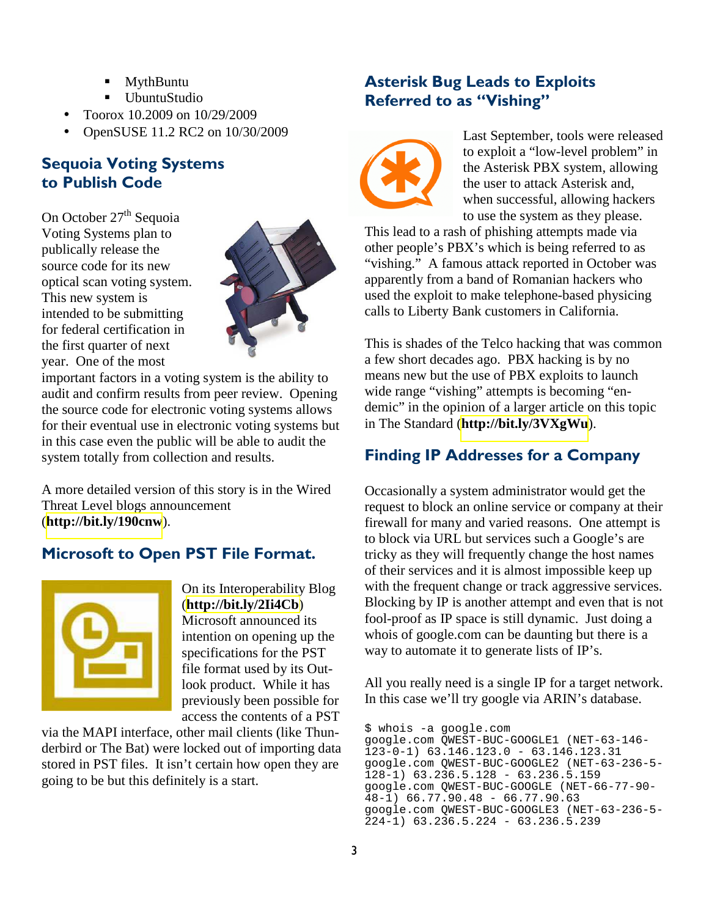- MythBuntu
- UbuntuStudio
- Toorox 10.2009 on 10/29/2009
- OpenSUSE 11.2 RC2 on 10/30/2009

#### Sequoia Voting Systems to Publish Code

On October  $27<sup>th</sup>$  Sequoia Voting Systems plan to publically release the source code for its new optical scan voting system. This new system is intended to be submitting for federal certification in the first quarter of next year. One of the most



important factors in a voting system is the ability to audit and confirm results from peer review. Opening the source code for electronic voting systems allows for their eventual use in electronic voting systems but in this case even the public will be able to audit the system totally from collection and results.

A more detailed version of this story is in the Wired Threat Level blogs announcement (**<http://bit.ly/190cnw>**).

#### Microsoft to Open PST File Format.



On its Interoperability Blog (**<http://bit.ly/2Ii4Cb>**) Microsoft announced its intention on opening up the specifications for the PST file format used by its Outlook product. While it has previously been possible for access the contents of a PST

via the MAPI interface, other mail clients (like Thunderbird or The Bat) were locked out of importing data stored in PST files. It isn't certain how open they are going to be but this definitely is a start.

#### Asterisk Bug Leads to Exploits Referred to as "Vishing"



Last September, tools were released to exploit a "low-level problem" in the Asterisk PBX system, allowing the user to attack Asterisk and, when successful, allowing hackers to use the system as they please.

This lead to a rash of phishing attempts made via other people's PBX's which is being referred to as "vishing." A famous attack reported in October was apparently from a band of Romanian hackers who used the exploit to make telephone-based physicing calls to Liberty Bank customers in California.

This is shades of the Telco hacking that was common a few short decades ago. PBX hacking is by no means new but the use of PBX exploits to launch wide range "vishing" attempts is becoming "endemic" in the opinion of a larger article on this topic in The Standard (**<http://bit.ly/3VXgWu>**).

#### Finding IP Addresses for a Company

Occasionally a system administrator would get the request to block an online service or company at their firewall for many and varied reasons. One attempt is to block via URL but services such a Google's are tricky as they will frequently change the host names of their services and it is almost impossible keep up with the frequent change or track aggressive services. Blocking by IP is another attempt and even that is not fool-proof as IP space is still dynamic. Just doing a whois of google.com can be daunting but there is a way to automate it to generate lists of IP's.

All you really need is a single IP for a target network. In this case we'll try google via ARIN's database.

\$ whois -a google.com google.com QWEST-BUC-GOOGLE1 (NET-63-146- 123-0-1) 63.146.123.0 - 63.146.123.31 google.com QWEST-BUC-GOOGLE2 (NET-63-236-5- 128-1) 63.236.5.128 - 63.236.5.159 google.com QWEST-BUC-GOOGLE (NET-66-77-90- 48-1) 66.77.90.48 - 66.77.90.63 google.com QWEST-BUC-GOOGLE3 (NET-63-236-5- 224-1) 63.236.5.224 - 63.236.5.239